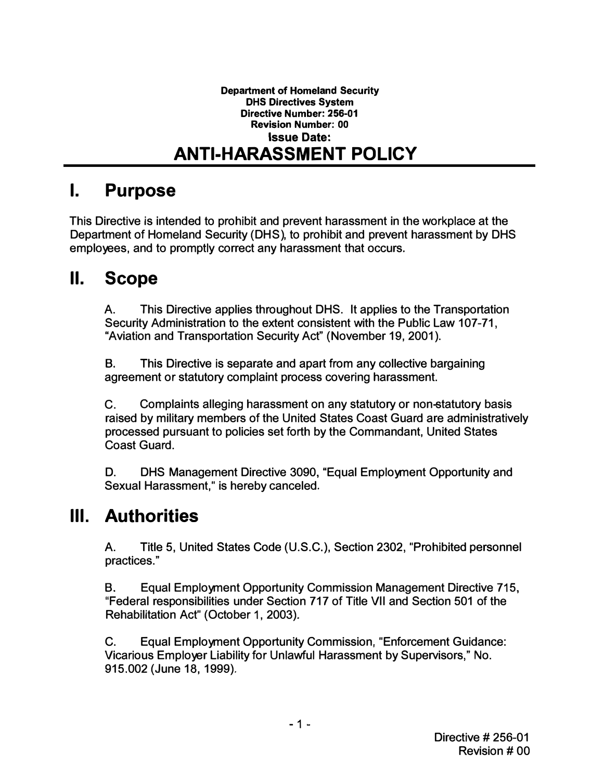#### Department of Homeland Security DHS Directives System Directive Number: 256-01 Revision Number: 00 Issue Date: ANTI·HARASSMENT POLICY

## I. Purpose

This Directive is intended to prohibit and prevent harassment in the workplace at the Department of Homeland Security (DHS), to prohibit and prevent harassment by DHS employees, and to promptly correct any harassment that occurs.

## II. Scope

A. This Directive applies throughout DHS. It applies to the Transportation Security Administration to the extent consistent with the Public Law 107-71, "Aviation and Transportation Security Act" (November 19, 2001) .

B. This Directive is separate and apart from any collective bargaining agreement or statutory complaint process covering harassment.

C. Complaints alleging harassment on any statutory or non-statutory basis raised by military members of the United States Coast Guard are administratively processed pursuant to policies set forth by the Commandant, United States Coast Guard.

D. DHS Management Directive 3090, "Equal Employment Opportunity and Sexual Harassment," is hereby canceled.

## III. Authorities

A. Title 5, United States Code (U. S. C. ), Section 2302, "Prohibited personnel practices. "

B. Equal Employment Opportunity Commission Management Directive 715, "Federal responsibilities under Section 717 of Title VII and Section 501 of the Rehabilitation Act" (October 1, 2003) .

C. Equal Employment Opportunity Commission, "Enforcement Guidance: Vicarious Employer Liability for Unlawful Harassment by Supervisors, " No. 915.002 (June 18,1999).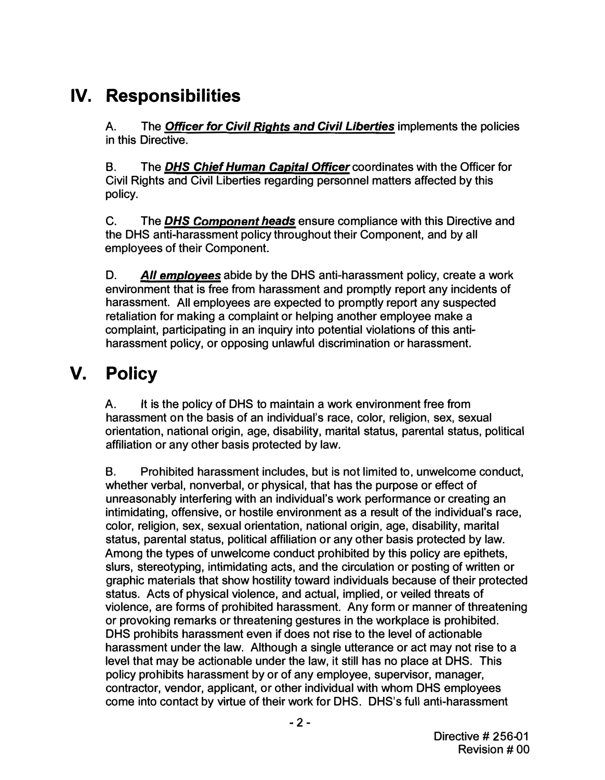# IV. Responsibilities

A. The **Officer for Civil Rights and Civil Liberties** implements the policies in this Directive.

B. The **DHS Chief Human Capital Officer** coordinates with the Officer for Civil Rights and Civil Liberties regarding personnel matters affected by this policy.

C. The **DHS Component heads** ensure compliance with this Directive and the DHS anti-harassment policy throughout their Component, and by all employees of their Component.

D. All employees abide by the DHS anti-harassment policy, create a work environment that is free from harassment and promptly report any incidents of harassment. All employees are expected to promptly report any suspected retaliation for making a complaint or helping another employee make a complaint, participating in an inquiry into potential violations of this antiharassment policy, or opposing unlawful discrimination or harassment.

# V. Policy

A. It is the policy of DHS to maintain a work environment free from harassment on the basis of an individual's race, color, religion, sex, sexual orientation, national origin, age, disability, marital status, parental status, political affiliation or any other basis protected by law.

B. Prohibited harassment includes, but is not limited to, unwelcome conduct, whether verbal, nonverbal, or physical, that has the purpose or effect of unreasonably interfering with an individual's work performance or creating an intimidating, offensive, or hostile environment as a result of the individual's race, color, religion, sex, sexual orientation, national origin, age, disability, marital status, parental status, political affiliation or any other basis protected by law. Among the types of unwelcome conduct prohibited by this policy are epithets, slurs, stereotyping, intimidating acts, and the circulation or posting of written or graphic materials that show hostility toward individuals because of their protected status. Acts of physical violence, and actual, implied, or veiled threats of violence, are forms of prohibited harassment. Any form or manner of threatening or provoking remarks or threatening gestures in the workplace is prohibited. DHS prohibits harassment even if does not rise to the level of actionable harassment under the law. Although a single utterance or act may not rise to a level that may be actionable under the law, it still has no place at DHS. This policy prohibits harassment by or of any employee, supervisor, manager, contractor, vendor, applicant, or other individual with whom DHS employees come into contact by virtue of their work for DHS. DHS's full anti-harassment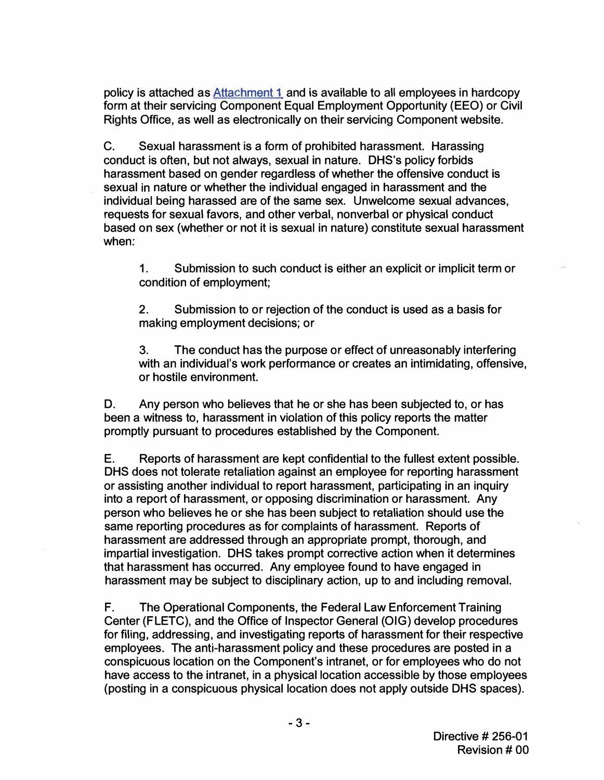policy is attached as Attachment 1 and is available to all employees in hardcopy form at their servicing Component Equal Employment Opportunity (EEO) or Civil Rights Office, as well as electronically on their servicing Component website.

C. Sexual harassment is a form of prohibited harassment. Harassing conduct is often, but not always, sexual in nature. DHS's policy forbids harassment based on gender regardless of whether the offensive conduct is sexual in nature or whether the individual engaged in harassment and the individual being harassed are of the same sex. Unwelcome sexual advances, requests for sexual favors, and other verbal, nonverbal or physical conduct based on sex (whether or not it is sexual in nature) constitute sexual harassment when:

1. Submission to such conduct is either an explicit or implicit term or condition of employment;

2. Submission to or rejection of the conduct is used as a basis for making employment decisions; or

3. The conduct has the purpose or effect of unreasonably interfering with an individual's work performance or creates an intimidating, offensive, or hostile environment.

D. Any person who believes that he or she has been subjected to, or has been a witness to, harassment in violation of this policy reports the matter promptly pursuant to procedures established by the Component.

E. Reports of harassment are kept confidential to the fullest extent possible. DHS does not tolerate retaliation against an employee for reporting harassment or assisting another individual to report harassment, participating in an inquiry into a report of harassment, or opposing discrimination or harassment. Any person who believes he or she has been subject to retaliation should use the same reporting procedures as for complaints of harassment. Reports of harassment are addressed through an appropriate prompt, thorough, and impartial investigation. DHS takes prompt corrective action when it determines that harassment has occurred. Any employee found to have engaged in harassment may be subject to disciplinary action, up to and including removal.

F. The Operational Components, the Federal Law Enforcement Training Center (FLETC), and the Office of Inspector General (OIG) develop procedures for filing, addressing, and investigating reports of harassment for their respective employees. The anti-harassment policy and these procedures are posted in a conspicuous location on the Component's intranet, or for employees who do not have access to the intranet, in a physical location accessible by those employees (posting in a conspicuous physical location does not apply outside DHS spaces) .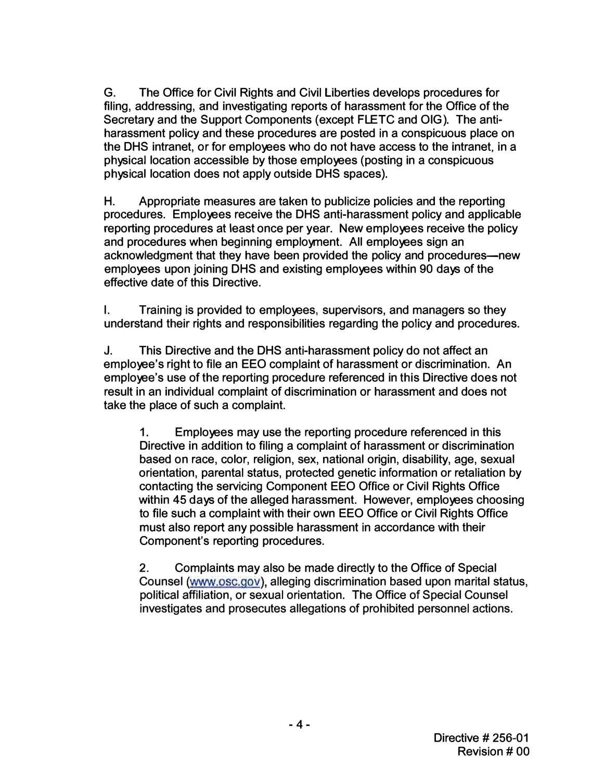G. The Office for Civil Rights and Civil Liberties develops procedures for filing, addressing, and investigating reports of harassment for the Office of the Secretary and the Support Components (except FLETC and OIG). The antiharassment policy and these procedures are posted in a conspicuous place on the DHS intranet, or for employees who do not have access to the intranet, in a physical location accessible by those employees (posting in a conspicuous physical location does not apply outside DHS spaces).

H. Appropriate measures are taken to publicize policies and the reporting procedures. Employees receive the DHS anti-harassment policy and applicable reporting procedures at least once per year. New employees receive the policy and procedures when beginning employment. All employees sign an acknowledgment that they have been provided the policy and procedures-new employees upon joining DHS and existing employees within 90 days of the effective date of this Directive.

I. Training is provided to employees, supervisors, and managers so they understand their rights and responsibilities regarding the policy and procedures.

J. This Directive and the DHS anti-harassment policy do not affect an employee's right to file an EEO complaint of harassment or discrimination. An employee's use of the reporting procedure referenced in this Directive does not result in an individual complaint of discrimination or harassment and does not take the place of such a complaint.

1. Employees may use the reporting procedure referenced in this Directive in addition to filing a complaint of harassment or discrimination based on race, color, religion, sex, national origin, disability, age, sexual orientation, parental status, protected genetic information or retaliation by contacting the servicing Component EEO Office or Civil Rights Office within 45 days of the alleged harassment. However, employees choosing to file such a complaint with their own EEO Office or Civil Rights Office must also report any possible harassment in accordance with their Component's reporting procedures.

2. Complaints may also be made directly to the Office of Special Counsel (www.[osc.gov](www.osc.gov)), alleging discrimination based upon marital status, political affiliation, or sexual orientation. The Office of Special Counsel investigates and prosecutes allegations of prohibited personnel actions.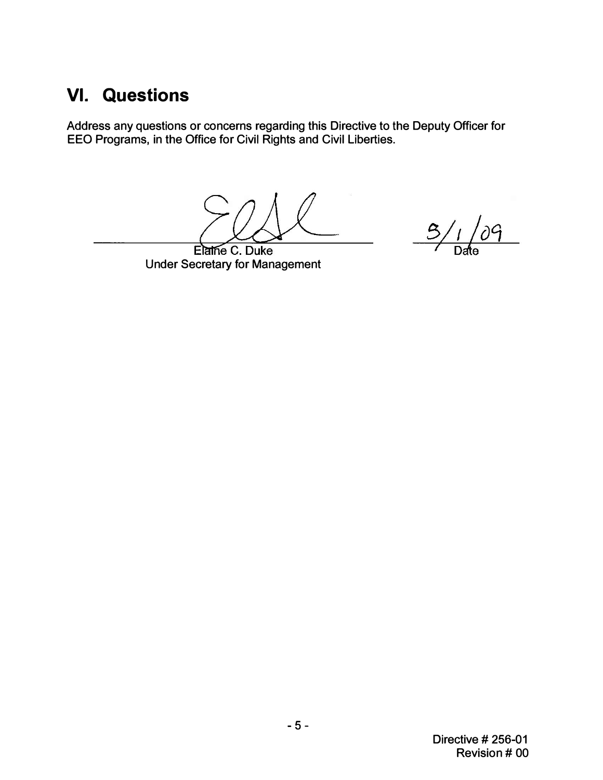# VI. Questions

Address any questions or concerns regarding this Directive to the Deputy Officer for EEO Programs, in the Office for Civil Rights and Civil Liberties.

 $3/1/09$ 

Elatrie C. Duke Under Secretary for Management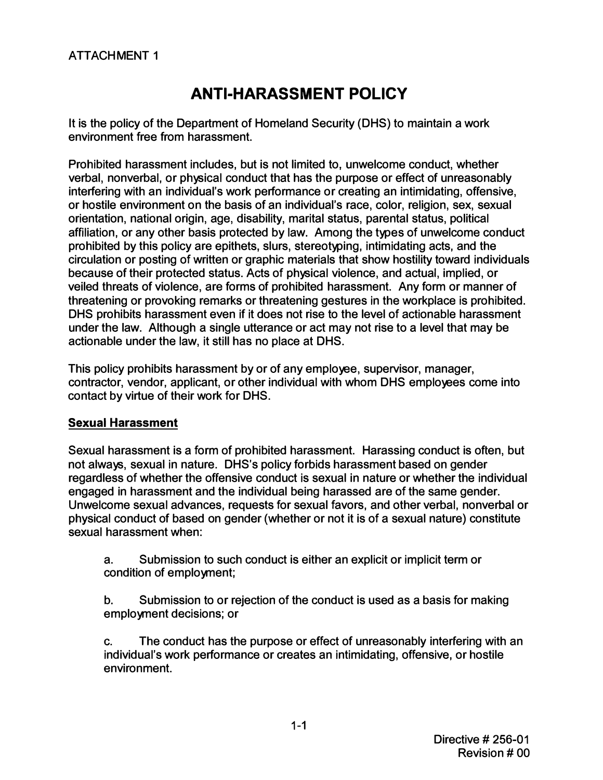### <span id="page-5-0"></span>ATTACHMENT 1

### ANTI-HARASSMENT POLICY

It is the policy of the Department of Homeland Security (DHS) to maintain a work environment free from harassment.

Prohibited harassment includes, but is not limited to, unwelcome conduct, whether verbal, nonverbal, or physical conduct that has the purpose or effect of unreasonably interfering with an individual's work performance or creating an intimidating, offensive, or hostile environment on the basis of an individual's race, color, religion, sex, sexual orientation, national origin, age, disability, marital status, parental status, political affiliation, or any other basis protected by law. Among the types of unwelcome conduct prohibited by this policy are epithets, slurs, stereotyping, intimidating acts, and the circulation or posting of written or graphic materials that show hostility toward individuals because of their protected status. Acts of physical violence, and actual, implied, or veiled threats of violence, are forms of prohibited harassment. Any form or manner of threatening or provoking remarks or threatening gestures in the workplace is prohibited. DHS prohibits harassment even if it does not rise to the level of actionable harassment under the law. Although a single utterance or act may not rise to a level that may be actionable under the law, it still has no place at DHS.

This policy prohibits harassment by or of any employee, supervisor, manager, contractor, vendor, applicant, or other individual with whom DHS employees come into contact by virtue of their work for DHS.

### Sexual Harassment

Sexual harassment is a form of prohibited harassment. Harassing conduct is often, but not always, sexual in nature. DHS's policy forbids harassment based on gender regardless of whether the offensive conduct is sexual in nature or whether the individual engaged in harassment and the individual being harassed are of the same gender. Unwelcome sexual advances, requests for sexual favors, and other verbal, nonverbal or physical conduct of based on gender (whether or not it is of a sexual nature) constitute sexual harassment when:

a. Submission to such conduct is either an explicit or implicit term or condition of employment;

b. Submission to or rejection of the conduct is used as a basis for making employment decisions; or

c. The conduct has the purpose or effect of unreasonably interfering with an individual's work performance or creates an intimidating, offensive, or hostile environment.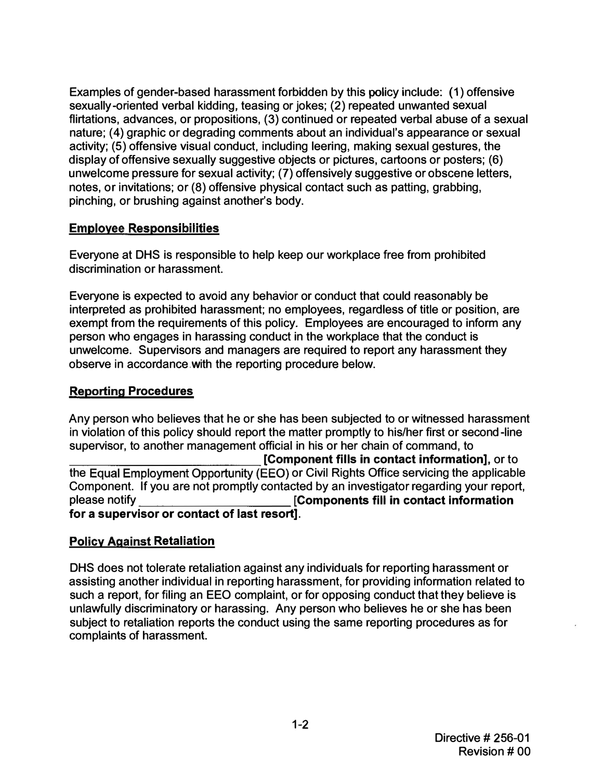Examples of gender-based harassment forbidden by this policy include: (1) offensive sexually-oriented verbal kidding, teasing or jokes; (2) repeated unwanted sexual flirtations, advances, or propositions, (3) continued or repeated verbal abuse of a sexual nature; (4) graphic or degrading comments about an individual's appearance or sexual activity; (5) offensive visual conduct, including leering, making sexual gestures, the display of offensive sexually suggestive objects or pictures, cartoons or posters; (6) unwelcome pressure for sexual activity; (7) offensively suggestive or obscene letters, notes, or invitations; or (8) offensive physical contact such as patting, grabbing, pinching, or brushing against another's body.

### Employee Responsibilities

Everyone at DHS is responsible to help keep our workplace free from prohibited discrimination or harassment.

Everyone is expected to avoid any behavior or conduct that could reasonably be interpreted as prohibited harassment; no employees, regardless of title or position, are exempt from the requirements of this policy. Employees are encouraged to inform any person who engages in harassing conduct in the workplace that the conduct is unwelcome. Supervisors and managers are required to report any harassment they observe in accordance with the reporting procedure below.

### Reporting Procedures

Any person who believes that he or she has been subjected to or witnessed harassment in violation of this policy should report the matter promptly to his/her first or second-line supervisor, to another management official in his or her chain of command, to

**Component fills in contact information**, or to the Equal Employment Opportunity (EEO) or Civil Rights Office servicing the applicable Component. If you are not promptly contacted by an investigator regarding your report, please notify **EXECO EXECO EXECO EXECO EXECUTE:** [Components fill in contact information for a supervisor or contact of last resort].

### Policy Against Retaliation

DHS does not tolerate retaliation against any individuals for reporting harassment or assisting another individual in reporting harassment, for providing information related to such a report, for filing an EEO complaint, or for opposing conduct that they believe is unlawfully discriminatory or harassing. Any person who believes he or she has been subject to retaliation reports the conduct using the same reporting procedures as for complaints of harassment.